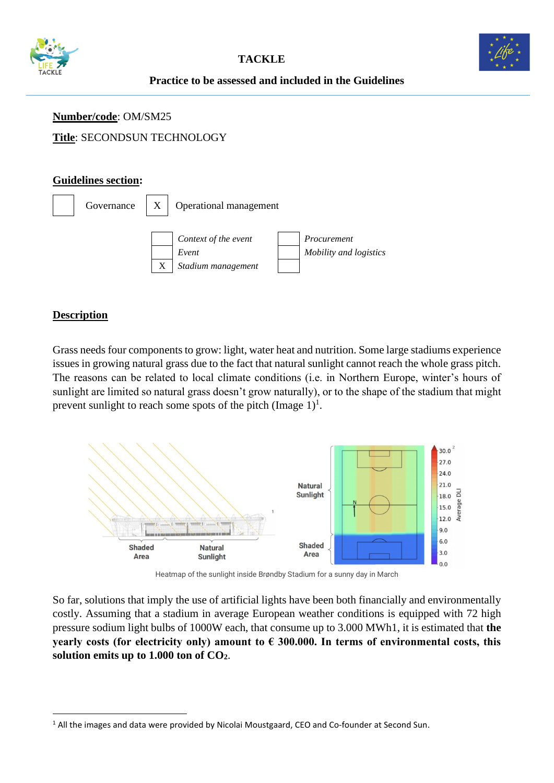



# **Practice to be assessed and included in the Guidelines**

# **Number/code**: OM/SM25

# **Title**: SECONDSUN TECHNOLOGY

#### **Guidelines section:**



## **Description**

Grass needs four components to grow: light, water heat and nutrition. Some large stadiums experience issues in growing natural grass due to the fact that natural sunlight cannot reach the whole grass pitch. The reasons can be related to local climate conditions (i.e. in Northern Europe, winter's hours of sunlight are limited so natural grass doesn't grow naturally), or to the shape of the stadium that might prevent sunlight to reach some spots of the pitch  $(Image 1)^1$ .



Heatmap of the sunlight inside Brøndby Stadium for a sunny day in March

So far, solutions that imply the use of artificial lights have been both financially and environmentally costly. Assuming that a stadium in average European weather conditions is equipped with 72 high pressure sodium light bulbs of 1000W each, that consume up to 3.000 MWh1, it is estimated that **the yearly costs (for electricity only) amount to € 300.000. In terms of environmental costs, this solution emits up to 1.000 ton of CO2**.

<sup>&</sup>lt;sup>1</sup> All the images and data were provided by Nicolai Moustgaard, CEO and Co-founder at Second Sun.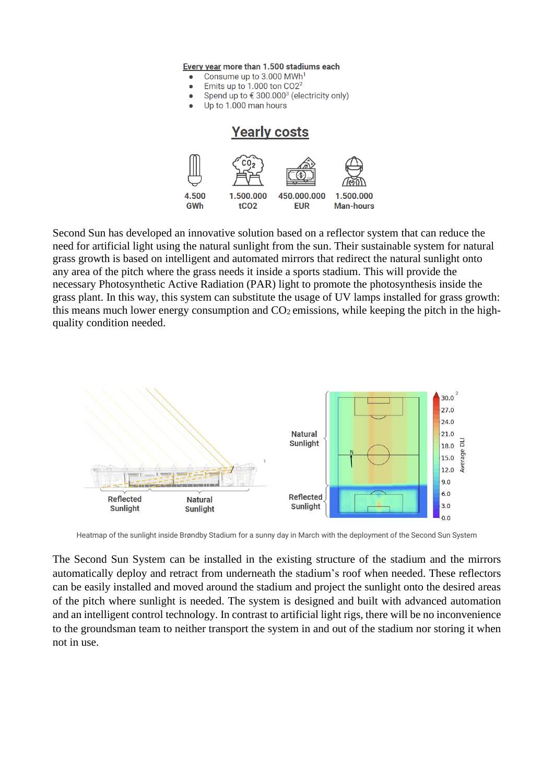Every year more than 1.500 stadiums each

- Consume up to 3,000 MWh<sup>1</sup>  $\bullet$
- Emits up to 1.000 ton CO2<sup>2</sup>
- Spend up to € 300.000<sup>3</sup> (electricity only)  $\bullet$
- Up to 1.000 man hours

#### **Yearly costs** 4.500 1.500.000 450.000.000 1.500.000 GWh tCO<sub>2</sub> **EUR Man-hours**

Second Sun has developed an innovative solution based on a reflector system that can reduce the need for artificial light using the natural sunlight from the sun. Their sustainable system for natural grass growth is based on intelligent and automated mirrors that redirect the natural sunlight onto any area of the pitch where the grass needs it inside a sports stadium. This will provide the necessary Photosynthetic Active Radiation (PAR) light to promote the photosynthesis inside the grass plant. In this way, this system can substitute the usage of UV lamps installed for grass growth: this means much lower energy consumption and  $CO<sub>2</sub>$  emissions, while keeping the pitch in the highquality condition needed.



Heatmap of the sunlight inside Brøndby Stadium for a sunny day in March with the deployment of the Second Sun System

The Second Sun System can be installed in the existing structure of the stadium and the mirrors automatically deploy and retract from underneath the stadium's roof when needed. These reflectors can be easily installed and moved around the stadium and project the sunlight onto the desired areas of the pitch where sunlight is needed. The system is designed and built with advanced automation and an intelligent control technology. In contrast to artificial light rigs, there will be no inconvenience to the groundsman team to neither transport the system in and out of the stadium nor storing it when not in use.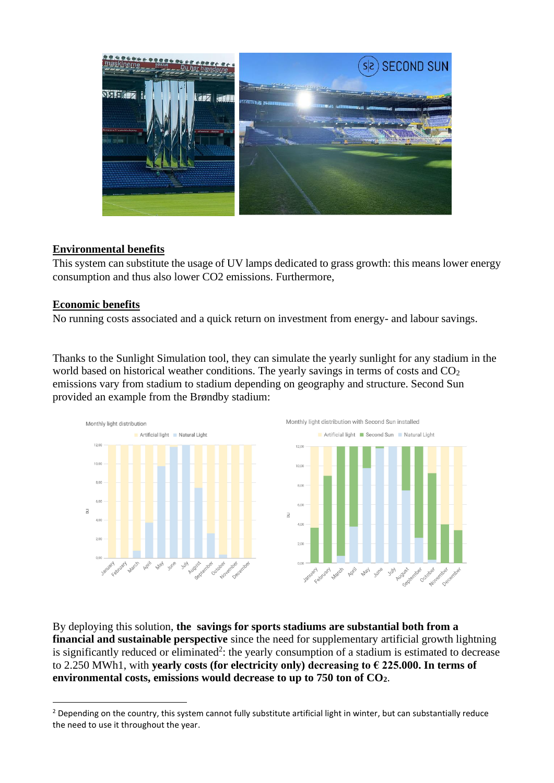

### **Environmental benefits**

This system can substitute the usage of UV lamps dedicated to grass growth: this means lower energy consumption and thus also lower CO2 emissions. Furthermore,

#### **Economic benefits**

No running costs associated and a quick return on investment from energy- and labour savings.

Thanks to the Sunlight Simulation tool, they can simulate the yearly sunlight for any stadium in the world based on historical weather conditions. The yearly savings in terms of costs and  $CO<sub>2</sub>$ emissions vary from stadium to stadium depending on geography and structure. Second Sun provided an example from the Brøndby stadium:



By deploying this solution, **the savings for sports stadiums are substantial both from a financial and sustainable perspective** since the need for supplementary artificial growth lightning is significantly reduced or eliminated<sup>2</sup>: the yearly consumption of a stadium is estimated to decrease to 2.250 MWh1, with **yearly costs (for electricity only) decreasing to € 225.000. In terms of environmental costs, emissions would decrease to up to 750 ton of CO2**.

<sup>&</sup>lt;sup>2</sup> Depending on the country, this system cannot fully substitute artificial light in winter, but can substantially reduce the need to use it throughout the year.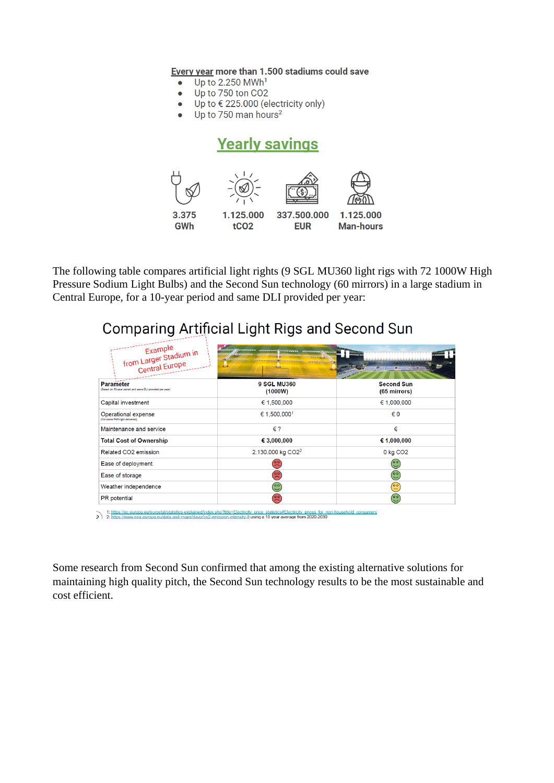Every year more than 1.500 stadiums could save

- Up to 2.250 MWh<sup>1</sup>  $\bullet$
- Up to 750 ton CO2  $\bullet$
- Up to € 225.000 (electricity only)  $\bullet$
- Up to 750 man hours<sup>2</sup>

# **Yearly savings**



The following table compares artificial light rights (9 SGL MU360 light rigs with 72 1000W High Pressure Sodium Light Bulbs) and the Second Sun technology (60 mirrors) in a large stadium in Central Europe, for a 10-year period and same DLI provided per year:

# **Comparing Artificial Light Rigs and Second Sun**

| Example<br>from Larger Stadium in<br>Central Europe                          | التناول                       |                                   |
|------------------------------------------------------------------------------|-------------------------------|-----------------------------------|
| <b>Parameter</b><br>(Based on 10-year period and same DLI provided per year) | <b>9 SGL MU360</b><br>(1000W) | <b>Second Sun</b><br>(65 mirrors) |
| Capital investment                                                           | € 1,500,000                   | 61,000,000                        |
| Operational expense<br>(For same PAR-light delivered)                        | € 1.500,000 <sup>1</sup>      | € 0                               |
| Maintenance and service                                                      | $\epsilon$ ?                  | €                                 |
| <b>Total Cost of Ownership</b>                                               | € 3,000,000                   | € 1,000,000                       |
| Related CO2 emission                                                         | 2.130.000 kg CO2 <sup>2</sup> | 0 kg CO <sub>2</sub>              |
| Ease of deployment                                                           | (°)                           | ಅ                                 |
| Ease of storage                                                              | $\left( \frac{5}{2} \right)$  | ಅ                                 |
| Weather independence                                                         | (၀၀)                          | $\widetilde{\Xi}$                 |
| PR potential                                                                 | $\left( \frac{5}{2} \right)$  | $\odot$                           |

Some research from Second Sun confirmed that among the existing alternative solutions for maintaining high quality pitch, the Second Sun technology results to be the most sustainable and cost efficient.